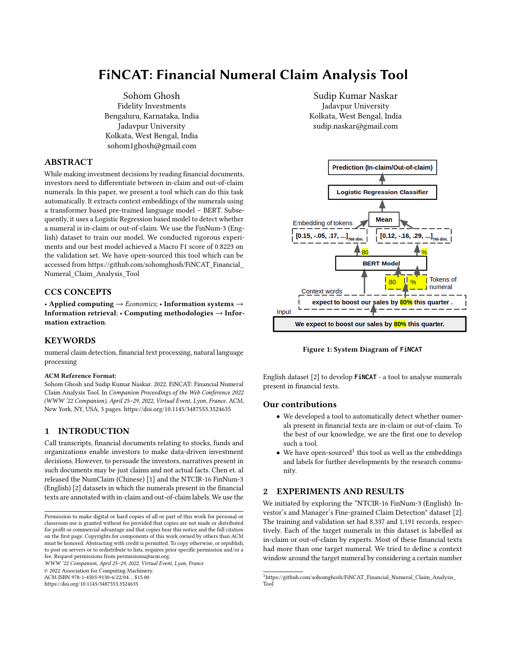# FiNCAT: Financial Numeral Claim Analysis Tool

[Sohom Ghosh](https://orcid.org/0000-0002-4113-0958) Fidelity Investments Bengaluru, Karnataka, India Jadavpur University Kolkata, West Bengal, India sohom1ghosh@gmail.com

## ABSTRACT

While making investment decisions by reading financial documents, investors need to differentiate between in-claim and out-of-claim numerals. In this paper, we present a tool which can do this task automatically. It extracts context embeddings of the numerals using a transformer based pre-trained language model – BERT. Subsequently, it uses a Logistic Regression based model to detect whether a numeral is in-claim or out-of-claim. We use the FinNum-3 (English) dataset to train our model. We conducted rigorous experiments and our best model achieved a Macro F1 score of 0.8223 on the validation set. We have open-sourced this tool which can be accessed from [https://github.com/sohomghosh/FiNCAT\\_Financial\\_](https://github.com/sohomghosh/FiNCAT_Financial_Numeral_Claim_Analysis_Tool) [Numeral\\_Claim\\_Analysis\\_Tool](https://github.com/sohomghosh/FiNCAT_Financial_Numeral_Claim_Analysis_Tool)

# CCS CONCEPTS

• Applied computing  $\rightarrow$  *Economics*; • Information systems  $\rightarrow$ Information retrieval; • Computing methodologies → Information extraction.

## **KEYWORDS**

numeral claim detection, financial text processing, natural language processing

#### ACM Reference Format:

Sohom Ghosh and Sudip Kumar Naskar. 2022. FiNCAT: Financial Numeral Claim Analysis Tool. In Companion Proceedings of the Web Conference 2022 (WWW '22 Companion), April 25–29, 2022, Virtual Event, Lyon, France. ACM, New York, NY, USA, [3](#page-2-0) pages.<https://doi.org/10.1145/3487553.3524635>

# 1 INTRODUCTION

Call transcripts, financial documents relating to stocks, funds and organizations enable investors to make data-driven investment decisions. However, to persuade the investors, narratives present in such documents may be just claims and not actual facts. Chen et. al released the NumClaim (Chinese) [\[1\]](#page-2-1) and the NTCIR-16 FinNum-3 (English) [\[2\]](#page-2-2) datasets in which the numerals present in the financial texts are annotated with in-claim and out-of-claim labels. We use the

WWW '22 Companion, April 25–29, 2022, Virtual Event, Lyon, France

© 2022 Association for Computing Machinery.

ACM ISBN 978-1-4503-9130-6/22/04. . . \$15.00

<https://doi.org/10.1145/3487553.3524635>

[Sudip Kumar Naskar](https://orcid.org/0000-0003-1588-4665) Jadavpur University Kolkata, West Bengal, India sudip.naskar@gmail.com

<span id="page-0-1"></span>

Figure 1: System Diagram of **FiNCAT**

English dataset [\[2\]](#page-2-2) to develop **FiNCAT** - a tool to analyse numerals present in financial texts.

## Our contributions

- We developed a tool to automatically detect whether numerals present in financial texts are in-claim or out-of-claim. To the best of our knowledge, we are the first one to develop such a tool.
- $\bullet$  We have open-sourced<sup>[1](#page-0-0)</sup> this tool as well as the embeddings and labels for further developments by the research community.

# <span id="page-0-2"></span>2 EXPERIMENTS AND RESULTS

We initiated by exploring the "NTCIR-16 FinNum-3 (English): Investor's and Manager's Fine-grained Claim Detection" dataset [\[2\]](#page-2-2). The training and validation set had 8,337 and 1,191 records, respectively. Each of the target numerals in this dataset is labelled as in-claim or out-of-claim by experts. Most of these financial texts had more than one target numeral. We tried to define a context window around the target numeral by considering a certain number

Permission to make digital or hard copies of all or part of this work for personal or classroom use is granted without fee provided that copies are not made or distributed for profit or commercial advantage and that copies bear this notice and the full citation on the first page. Copyrights for components of this work owned by others than ACM must be honored. Abstracting with credit is permitted. To copy otherwise, or republish, to post on servers or to redistribute to lists, requires prior specific permission and/or a fee. Request permissions from permissions@acm.org.

<span id="page-0-0"></span><sup>1</sup>[https://github.com/sohomghosh/FiNCAT\\_Financial\\_Numeral\\_Claim\\_Analysis\\_](https://github.com/sohomghosh/FiNCAT_Financial_Numeral_Claim_Analysis_Tool) [Tool](https://github.com/sohomghosh/FiNCAT_Financial_Numeral_Claim_Analysis_Tool)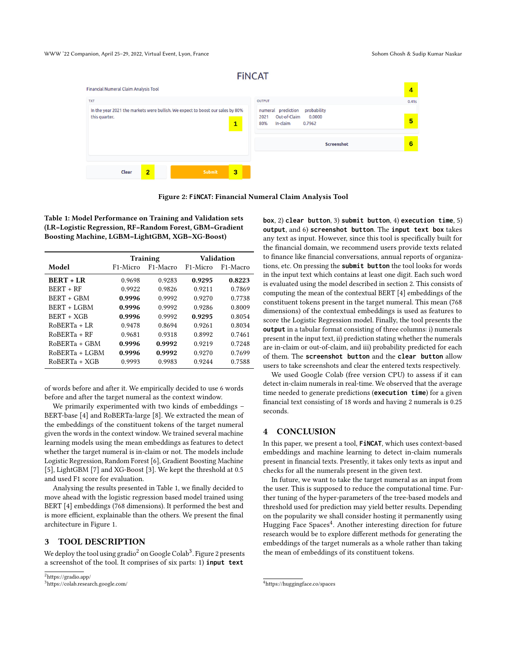<span id="page-1-3"></span>

Figure 2: **FiNCAT**: Financial Numeral Claim Analysis Tool

<span id="page-1-0"></span>Table 1: Model Performance on Training and Validation sets (LR=Logistic Regression, RF=Random Forest, GBM=Gradient Boosting Machine, LGBM=LightGBM, XGB=XG-Boost)

|                    | <b>Training</b>       |                       | Validation            |                       |
|--------------------|-----------------------|-----------------------|-----------------------|-----------------------|
| Model              | F <sub>1</sub> -Micro | F <sub>1</sub> -Macro | F <sub>1</sub> -Micro | F <sub>1</sub> -Macro |
| <b>BERT + LR</b>   | 0.9698                | 0.9283                | 0.9295                | 0.8223                |
| <b>BERT + RF</b>   | 0.9922                | 0.9826                | 0.9211                | 0.7869                |
| BERT + GBM         | 0.9996                | 0.9992                | 0.9270                | 0.7738                |
| <b>BERT + LGBM</b> | 0.9996                | 0.9992                | 0.9286                | 0.8009                |
| <b>BERT + XGB</b>  | 0.9996                | 0.9992                | 0.9295                | 0.8054                |
| $ROBERTA + LR$     | 0.9478                | 0.8694                | 0.9261                | 0.8034                |
| $ROBERTA + RF$     | 0.9681                | 0.9318                | 0.8992                | 0.7461                |
| $RoBERTa + GBM$    | 0.9996                | 0.9992                | 0.9219                | 0.7248                |
| $ROBERTA + LGBM$   | 0.9996                | 0.9992                | 0.9270                | 0.7699                |
| RoBERTa + XGB      | 0.9993                | 0.9983                | 0.9244                | 0.7588                |

of words before and after it. We empirically decided to use 6 words before and after the target numeral as the context window.

We primarily experimented with two kinds of embeddings – BERT-base [\[4\]](#page-2-3) and RoBERTa-large [\[8\]](#page-2-4). We extracted the mean of the embeddings of the constituent tokens of the target numeral given the words in the context window. We trained several machine learning models using the mean embeddings as features to detect whether the target numeral is in-claim or not. The models include Logistic Regression, Random Forest [\[6\]](#page-2-5), Gradient Boosting Machine [\[5\]](#page-2-6), LightGBM [\[7\]](#page-2-7) and XG-Boost [\[3\]](#page-2-8). We kept the threshold at 0.5 and used F1 score for evaluation.

Analysing the results presented in Table [1,](#page-1-0) we finally decided to move ahead with the logistic regression based model trained using BERT [\[4\]](#page-2-3) embeddings (768 dimensions). It performed the best and is more efficient, explainable than the others. We present the final architecture in Figure [1.](#page-0-1)

## 3 TOOL DESCRIPTION

We deploy the tool using gradio $^2$  $^2$  on Google Colab $^3$  $^3$ . Figure [2](#page-1-3) presents a screenshot of the tool. It comprises of six parts: 1) **input text**

**box**, 2) **clear button**, 3) **submit button**, 4) **execution time**, 5) **output**, and 6) **screenshot button**. The **input text box** takes any text as input. However, since this tool is specifically built for the financial domain, we recommend users provide texts related to finance like financial conversations, annual reports of organizations, etc. On pressing the **submit button** the tool looks for words in the input text which contains at least one digit. Each such word is evaluated using the model described in section [2.](#page-0-2) This consists of computing the mean of the contextual BERT [\[4\]](#page-2-3) embeddings of the constituent tokens present in the target numeral. This mean (768 dimensions) of the contextual embeddings is used as features to score the Logistic Regression model. Finally, the tool presents the **output** in a tabular format consisting of three columns: i) numerals present in the input text, ii) prediction stating whether the numerals are in-claim or out-of-claim, and iii) probability predicted for each of them. The **screenshot button** and the **clear button** allow users to take screenshots and clear the entered texts respectively.

We used Google Colab (free version CPU) to assess if it can detect in-claim numerals in real-time. We observed that the average time needed to generate predictions (**execution time**) for a given financial text consisting of 18 words and having 2 numerals is 0.25 seconds.

#### 4 CONCLUSION

In this paper, we present a tool, **FiNCAT**, which uses context-based embeddings and machine learning to detect in-claim numerals present in financial texts. Presently, it takes only texts as input and checks for all the numerals present in the given text.

In future, we want to take the target numeral as an input from the user. This is supposed to reduce the computational time. Further tuning of the hyper-parameters of the tree-based models and threshold used for prediction may yield better results. Depending on the popularity we shall consider hosting it permanently using Hugging Face Spaces<sup>[4](#page-1-4)</sup>. Another interesting direction for future research would be to explore different methods for generating the embeddings of the target numerals as a whole rather than taking the mean of embeddings of its constituent tokens.

<span id="page-1-1"></span><sup>&</sup>lt;sup>2</sup>https://gradio.app/

<span id="page-1-2"></span><sup>3</sup>https://colab.research.google.com/

<span id="page-1-4"></span><sup>4</sup>https://huggingface.co/spaces